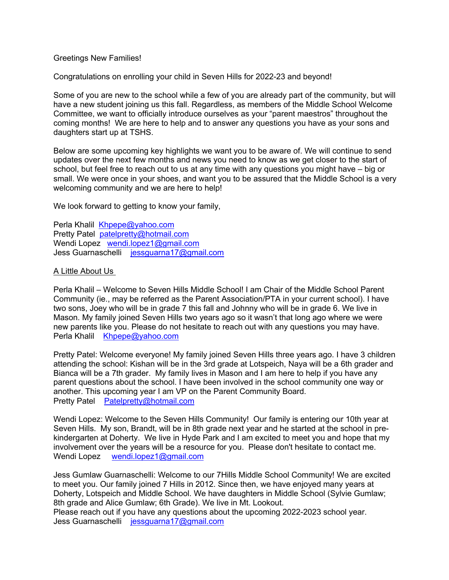## Greetings New Families!

Congratulations on enrolling your child in Seven Hills for 2022-23 and beyond!

Some of you are new to the school while a few of you are already part of the community, but will have a new student joining us this fall. Regardless, as members of the Middle School Welcome Committee, we want to officially introduce ourselves as your "parent maestros" throughout the coming months! We are here to help and to answer any questions you have as your sons and daughters start up at TSHS.

Below are some upcoming key highlights we want you to be aware of. We will continue to send updates over the next few months and news you need to know as we get closer to the start of school, but feel free to reach out to us at any time with any questions you might have – big or small. We were once in your shoes, and want you to be assured that the Middle School is a very welcoming community and we are here to help!

We look forward to getting to know your family,

Perla Khalil Khpepe@yahoo.com Pretty Patel patelpretty@hotmail.com Wendi Lopez wendi.lopez1@gmail.com Jess Guarnaschelli jessguarna17@gmail.com

# A Little About Us

Perla Khalil – Welcome to Seven Hills Middle School! I am Chair of the Middle School Parent Community (ie., may be referred as the Parent Association/PTA in your current school). I have two sons, Joey who will be in grade 7 this fall and Johnny who will be in grade 6. We live in Mason. My family joined Seven Hills two years ago so it wasn't that long ago where we were new parents like you. Please do not hesitate to reach out with any questions you may have. Perla Khalil Khpepe@yahoo.com

Pretty Patel: Welcome everyone! My family joined Seven Hills three years ago. I have 3 children attending the school: Kishan will be in the 3rd grade at Lotspeich, Naya will be a 6th grader and Bianca will be a 7th grader. My family lives in Mason and I am here to help if you have any parent questions about the school. I have been involved in the school community one way or another. This upcoming year I am VP on the Parent Community Board. Pretty Patel Patelpretty@hotmail.com

Wendi Lopez: Welcome to the Seven Hills Community! Our family is entering our 10th year at Seven Hills. My son, Brandt, will be in 8th grade next year and he started at the school in prekindergarten at Doherty. We live in Hyde Park and I am excited to meet you and hope that my involvement over the years will be a resource for you. Please don't hesitate to contact me. Wendi Lopez wendi.lopez1@gmail.com

Jess Gumlaw Guarnaschelli: Welcome to our 7Hills Middle School Community! We are excited to meet you. Our family joined 7 Hills in 2012. Since then, we have enjoyed many years at Doherty, Lotspeich and Middle School. We have daughters in Middle School (Sylvie Gumlaw; 8th grade and Alice Gumlaw; 6th Grade). We live in Mt. Lookout.

Please reach out if you have any questions about the upcoming 2022-2023 school year. Jess Guarnaschelli jessguarna17@gmail.com